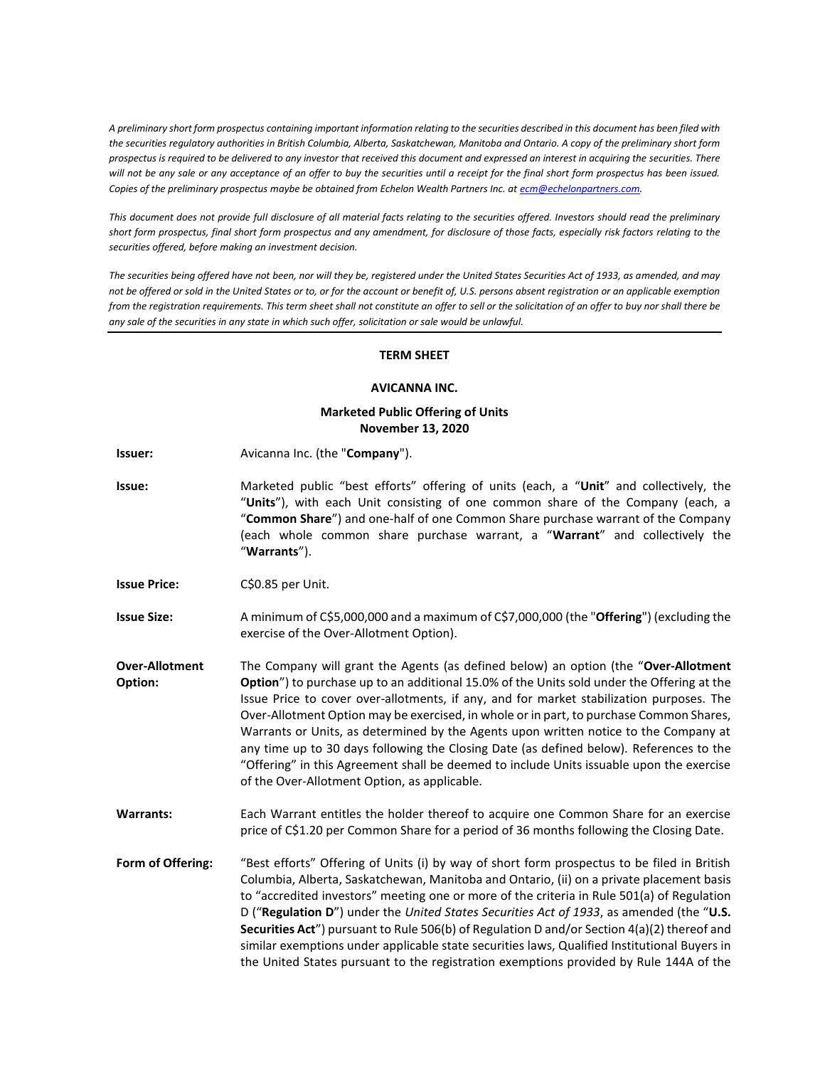*A preliminary short form prospectus containing important information relating to the securities described in this document has been filed with the securities regulatory authorities in British Columbia, Alberta, Saskatchewan, Manitoba and Ontario. A copy of the preliminary short form prospectus is required to be delivered to any investor that received this document and expressed an interest in acquiring the securities. There will not be any sale or any acceptance of an offer to buy the securities until a receipt for the final short form prospectus has been issued. Copies of the preliminary prospectus maybe be obtained from Echelon Wealth Partners Inc. at [ecm@echelonpartners.com.](mailto:ecm@echelonpartners.com)*

*This document does not provide full disclosure of all material facts relating to the securities offered. Investors should read the preliminary short form prospectus, final short form prospectus and any amendment, for disclosure of those facts, especially risk factors relating to the securities offered, before making an investment decision.*

*The securities being offered have not been, nor will they be, registered under the United States Securities Act of 1933, as amended, and may not be offered or sold in the United States or to, or for the account or benefit of, U.S. persons absent registration or an applicable exemption from the registration requirements. This term sheet shall not constitute an offer to sell or the solicitation of an offer to buy nor shall there be any sale of the securities in any state in which such offer, solicitation or sale would be unlawful.*

## **TERM SHEET**

## **AVICANNA INC.**

## **Marketed Public Offering of Units November 13, 2020**

- **Issuer:** Avicanna Inc. (the "**Company**").
- **Issue:** Marketed public "best efforts" offering of units (each, a "**Unit**" and collectively, the "**Units**"), with each Unit consisting of one common share of the Company (each, a "**Common Share**") and one-half of one Common Share purchase warrant of the Company (each whole common share purchase warrant, a "**Warrant**" and collectively the "**Warrants**").
- **Issue Price:** C\$0.85 per Unit.
- **Issue Size:** A minimum of C\$5,000,000 and a maximum of C\$7,000,000 (the "**Offering**") (excluding the exercise of the Over-Allotment Option).
- **Over-Allotment Option:** The Company will grant the Agents (as defined below) an option (the "**Over-Allotment Option**") to purchase up to an additional 15.0% of the Units sold under the Offering at the Issue Price to cover over-allotments, if any, and for market stabilization purposes. The Over-Allotment Option may be exercised, in whole or in part, to purchase Common Shares, Warrants or Units, as determined by the Agents upon written notice to the Company at any time up to 30 days following the Closing Date (as defined below). References to the "Offering" in this Agreement shall be deemed to include Units issuable upon the exercise of the Over-Allotment Option, as applicable.
- **Warrants:** Each Warrant entitles the holder thereof to acquire one Common Share for an exercise price of C\$1.20 per Common Share for a period of 36 months following the Closing Date.
- **Form of Offering:** "Best efforts" Offering of Units (i) by way of short form prospectus to be filed in British Columbia, Alberta, Saskatchewan, Manitoba and Ontario, (ii) on a private placement basis to "accredited investors" meeting one or more of the criteria in Rule 501(a) of Regulation D ("**Regulation D**") under the *United States Securities Act of 1933*, as amended (the "**U.S. Securities Act**") pursuant to Rule 506(b) of Regulation D and/or Section 4(a)(2) thereof and similar exemptions under applicable state securities laws, Qualified Institutional Buyers in the United States pursuant to the registration exemptions provided by Rule 144A of the